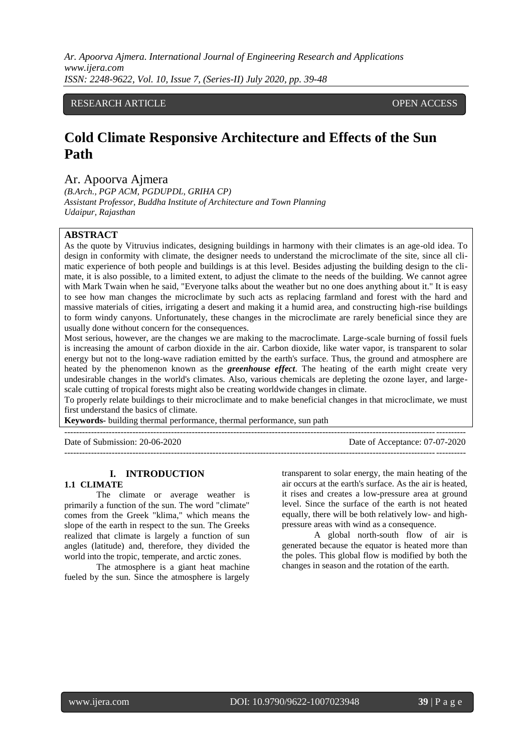# RESEARCH ARTICLE **CONTRACT OPEN ACCESS**

# **Cold Climate Responsive Architecture and Effects of the Sun Path**

Ar. Apoorva Ajmera

*(B.Arch., PGP ACM, PGDUPDL, GRIHA CP) Assistant Professor, Buddha Institute of Architecture and Town Planning Udaipur, Rajasthan*

# **ABSTRACT**

As the quote by Vitruvius indicates, designing buildings in harmony with their climates is an age-old idea. To design in conformity with climate, the designer needs to understand the microclimate of the site, since all climatic experience of both people and buildings is at this level. Besides adjusting the building design to the climate, it is also possible, to a limited extent, to adjust the climate to the needs of the building. We cannot agree with Mark Twain when he said, "Everyone talks about the weather but no one does anything about it." It is easy to see how man changes the microclimate by such acts as replacing farmland and forest with the hard and massive materials of cities, irrigating a desert and making it a humid area, and constructing high-rise buildings to form windy canyons. Unfortunately, these changes in the microclimate are rarely beneficial since they are usually done without concern for the consequences.

Most serious, however, are the changes we are making to the macroclimate. Large-scale burning of fossil fuels is increasing the amount of carbon dioxide in the air. Carbon dioxide, like water vapor, is transparent to solar energy but not to the long-wave radiation emitted by the earth's surface. Thus, the ground and atmosphere are heated by the phenomenon known as the *greenhouse effect*. The heating of the earth might create very undesirable changes in the world's climates. Also, various chemicals are depleting the ozone layer, and largescale cutting of tropical forests might also be creating worldwide changes in climate.

To properly relate buildings to their microclimate and to make beneficial changes in that microclimate, we must first understand the basics of climate.

**Keywords-** building thermal performance, thermal performance, sun path

---------------------------------------------------------------------------------------------------------------------------------------

Date of Submission: 20-06-2020 Date of Acceptance: 07-07-2020 ---------------------------------------------------------------------------------------------------------------------------------------

## **I. INTRODUCTION**

#### **1.1 CLIMATE**

The climate or average weather is primarily a function of the sun. The word "climate" comes from the Greek "klima," which means the slope of the earth in respect to the sun. The Greeks realized that climate is largely a function of sun angles (latitude) and, therefore, they divided the world into the tropic, temperate, and arctic zones.

The atmosphere is a giant heat machine fueled by the sun. Since the atmosphere is largely transparent to solar energy, the main heating of the air occurs at the earth's surface. As the air is heated, it rises and creates a low-pressure area at ground level. Since the surface of the earth is not heated equally, there will be both relatively low- and highpressure areas with wind as a consequence.

A global north-south flow of air is generated because the equator is heated more than the poles. This global flow is modified by both the changes in season and the rotation of the earth.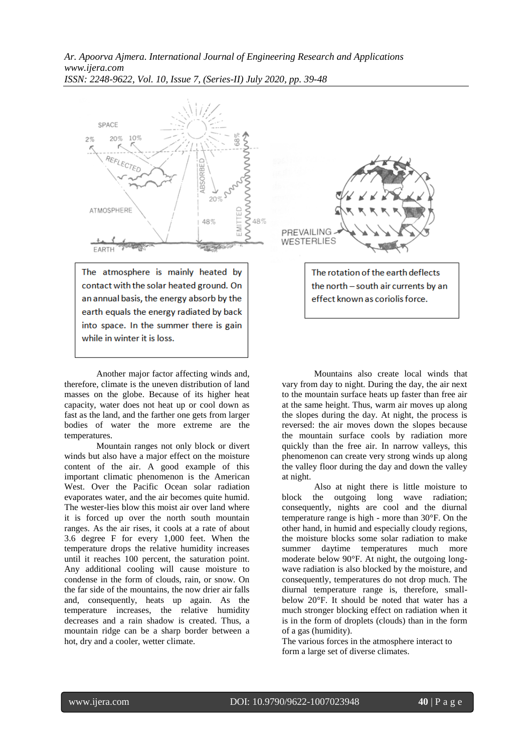

contact with the solar heated ground. On an annual basis, the energy absorb by the earth equals the energy radiated by back into space. In the summer there is gain while in winter it is loss.

Another major factor affecting winds and, therefore, climate is the uneven distribution of land masses on the globe. Because of its higher heat capacity, water does not heat up or cool down as fast as the land, and the farther one gets from larger bodies of water the more extreme are the temperatures.

Mountain ranges not only block or divert winds but also have a major effect on the moisture content of the air. A good example of this important climatic phenomenon is the American West. Over the Pacific Ocean solar radiation evaporates water, and the air becomes quite humid. The wester-lies blow this moist air over land where it is forced up over the north south mountain ranges. As the air rises, it cools at a rate of about 3.6 degree F for every 1,000 feet. When the temperature drops the relative humidity increases until it reaches 100 percent, the saturation point. Any additional cooling will cause moisture to condense in the form of clouds, rain, or snow. On the far side of the mountains, the now drier air falls and, consequently, heats up again. As the temperature increases, the relative humidity decreases and a rain shadow is created. Thus, a mountain ridge can be a sharp border between a hot, dry and a cooler, wetter climate.



The rotation of the earth deflects the north - south air currents by an effect known as coriolis force.

Mountains also create local winds that vary from day to night. During the day, the air next to the mountain surface heats up faster than free air at the same height. Thus, warm air moves up along the slopes during the day. At night, the process is reversed: the air moves down the slopes because the mountain surface cools by radiation more quickly than the free air. In narrow valleys, this phenomenon can create very strong winds up along the valley floor during the day and down the valley at night.

Also at night there is little moisture to block the outgoing long wave radiation; consequently, nights are cool and the diurnal temperature range is high - more than 30°F. On the other hand, in humid and especially cloudy regions, the moisture blocks some solar radiation to make summer daytime temperatures much more moderate below 90°F. At night, the outgoing longwave radiation is also blocked by the moisture, and consequently, temperatures do not drop much. The diurnal temperature range is, therefore, smallbelow 20°F. It should be noted that water has a much stronger blocking effect on radiation when it is in the form of droplets (clouds) than in the form of a gas (humidity).

The various forces in the atmosphere interact to form a large set of diverse climates.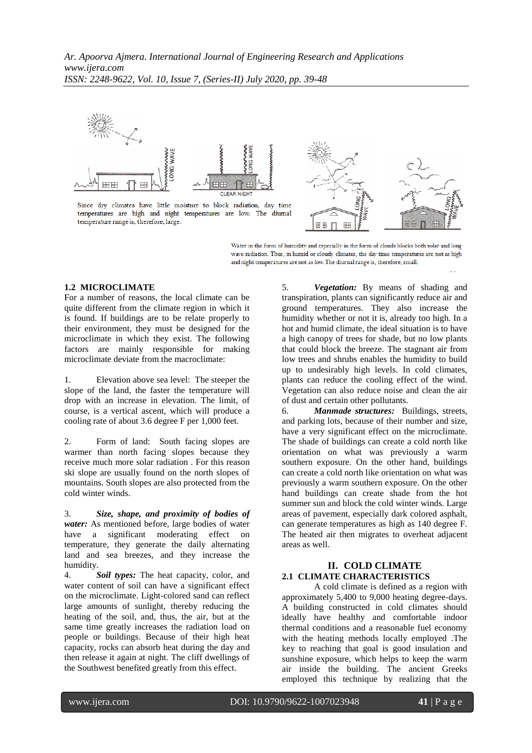

Since dry climates have little moisture to block radiation, day time temperatures are high and night temperatures are low. The diumal temperature range is, therefore, large.



Water in the form of humidity and especially in the form of clouds blocks both solar and long wave radiation. Thus, in humid or cloudy climates, the day time temperatures are not as high and night temperatures are not as low. The diurnal range is, therefore, small.

## **1.2 MICROCLIMATE**

For a number of reasons, the local climate can be quite different from the climate region in which it is found. If buildings are to be relate properly to their environment, they must be designed for the microclimate in which they exist. The following factors are mainly responsible for making microclimate deviate from the macroclimate:

1. Elevation above sea level: The steeper the slope of the land, the faster the temperature will drop with an increase in elevation. The limit, of course, is a vertical ascent, which will produce a cooling rate of about 3.6 degree F per 1,000 feet.

2. Form of land: South facing slopes are warmer than north facing slopes because they receive much more solar radiation . For this reason ski slope are usually found on the north slopes of mountains. South slopes are also protected from the cold winter winds.

3. *Size, shape, and proximity of bodies of water:* As mentioned before, large bodies of water have a significant moderating effect on temperature, they generate the daily alternating land and sea breezes, and they increase the humidity.

4. *Soil types:* The heat capacity, color, and water content of soil can have a significant effect on the microclimate. Light-colored sand can reflect large amounts of sunlight, thereby reducing the heating of the soil, and, thus, the air, but at the same time greatly increases the radiation load on people or buildings. Because of their high heat capacity, rocks can absorb heat during the day and then release it again at night. The cliff dwellings of the Southwest benefited greatly from this effect.

5. *Vegetation:* By means of shading and transpiration, plants can significantly reduce air and ground temperatures. They also increase the humidity whether or not it is, already too high. In a hot and humid climate, the ideal situation is to have a high canopy of trees for shade, but no low plants that could block the breeze. The stagnant air from low trees and shrubs enables the humidity to build up to undesirably high levels. In cold climates, plants can reduce the cooling effect of the wind. Vegetation can also reduce noise and clean the air of dust and certain other pollutants.

6. *Manmade structures:* Buildings, streets, and parking lots, because of their number and size, have a very significant effect on the microclimate. The shade of buildings can create a cold north like orientation on what was previously a warm southern exposure. On the other hand, buildings can create a cold north like orientation on what was previously a warm southern exposure. On the other hand buildings can create shade from the hot summer sun and block the cold winter winds. Large areas of pavement, especially dark colored asphalt, can generate temperatures as high as 140 degree F. The heated air then migrates to overheat adjacent areas as well.

# **II. COLD CLIMATE 2.1 CLIMATE CHARACTERISTICS**

A cold climate is defined as a region with approximately 5,400 to 9,000 heating degree-days. A building constructed in cold climates should ideally have healthy and comfortable indoor thermal conditions and a reasonable fuel economy with the heating methods locally employed .The key to reaching that goal is good insulation and sunshine exposure, which helps to keep the warm air inside the building. The ancient Greeks employed this technique by realizing that the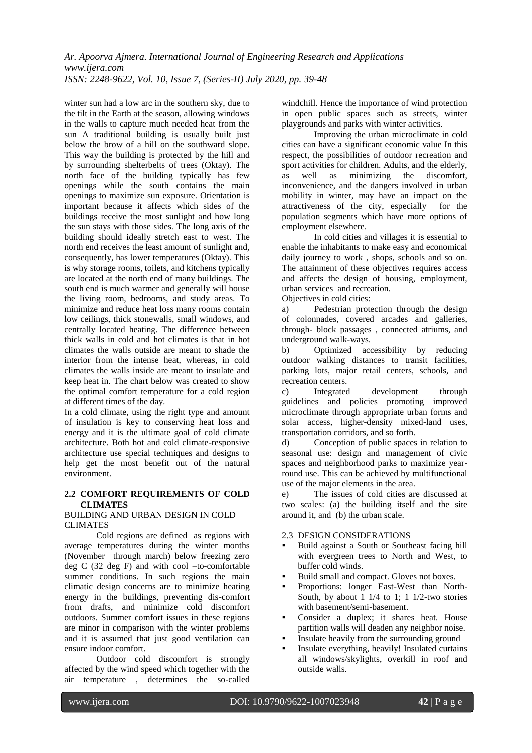winter sun had a low arc in the southern sky, due to the tilt in the Earth at the season, allowing windows in the walls to capture much needed heat from the sun A traditional building is usually built just below the brow of a hill on the southward slope. This way the building is protected by the hill and by surrounding shelterbelts of trees (Oktay). The north face of the building typically has few openings while the south contains the main openings to maximize sun exposure. Orientation is important because it affects which sides of the buildings receive the most sunlight and how long the sun stays with those sides. The long axis of the building should ideally stretch east to west. The north end receives the least amount of sunlight and, consequently, has lower temperatures (Oktay). This is why storage rooms, toilets, and kitchens typically are located at the north end of many buildings. The south end is much warmer and generally will house the living room, bedrooms, and study areas. To minimize and reduce heat loss many rooms contain low ceilings, thick stonewalls, small windows, and centrally located heating. The difference between thick walls in cold and hot climates is that in hot climates the walls outside are meant to shade the interior from the intense heat, whereas, in cold climates the walls inside are meant to insulate and keep heat in. The chart below was created to show the optimal comfort temperature for a cold region at different times of the day.

In a cold climate, using the right type and amount of insulation is key to conserving heat loss and energy and it is the ultimate goal of cold climate architecture. Both hot and cold climate-responsive architecture use special techniques and designs to help get the most benefit out of the natural environment.

# **2.2 COMFORT REQUIREMENTS OF COLD CLIMATES**

## BUILDING AND URBAN DESIGN IN COLD **CLIMATES**

Cold regions are defined as regions with average temperatures during the winter months (November through march) below freezing zero deg C (32 deg F) and with cool –to-comfortable summer conditions. In such regions the main climatic design concerns are to minimize heating energy in the buildings, preventing dis-comfort from drafts, and minimize cold discomfort outdoors. Summer comfort issues in these regions are minor in comparison with the winter problems and it is assumed that just good ventilation can ensure indoor comfort.

Outdoor cold discomfort is strongly affected by the wind speed which together with the air temperature , determines the so-called windchill. Hence the importance of wind protection in open public spaces such as streets, winter playgrounds and parks with winter activities.

Improving the urban microclimate in cold cities can have a significant economic value In this respect, the possibilities of outdoor recreation and sport activities for children. Adults, and the elderly, as well as minimizing the discomfort, inconvenience, and the dangers involved in urban mobility in winter, may have an impact on the attractiveness of the city, especially for the population segments which have more options of employment elsewhere.

In cold cities and villages it is essential to enable the inhabitants to make easy and economical daily journey to work , shops, schools and so on. The attainment of these objectives requires access and affects the design of housing, employment, urban services and recreation.

Objectives in cold cities:

a) Pedestrian protection through the design of colonnades, covered arcades and galleries, through- block passages , connected atriums, and underground walk-ways.

b) Optimized accessibility by reducing outdoor walking distances to transit facilities, parking lots, major retail centers, schools, and recreation centers.

c) Integrated development through guidelines and policies promoting improved microclimate through appropriate urban forms and solar access, higher-density mixed-land uses, transportation corridors, and so forth.

d) Conception of public spaces in relation to seasonal use: design and management of civic spaces and neighborhood parks to maximize yearround use. This can be achieved by multifunctional use of the major elements in the area.

e) The issues of cold cities are discussed at two scales: (a) the building itself and the site around it, and (b) the urban scale.

# 2.3 DESIGN CONSIDERATIONS

- Build against a South or Southeast facing hill with evergreen trees to North and West, to buffer cold winds.
- Build small and compact. Gloves not boxes.
- Proportions: longer East-West than North-South, by about  $1 \frac{1}{4}$  to  $1$ ;  $1 \frac{1}{2}$ -two stories with basement/semi-basement.
- Consider a duplex; it shares heat. House partition walls will deaden any neighbor noise.
- Insulate heavily from the surrounding ground
- Insulate everything, heavily! Insulated curtains all windows/skylights, overkill in roof and outside walls.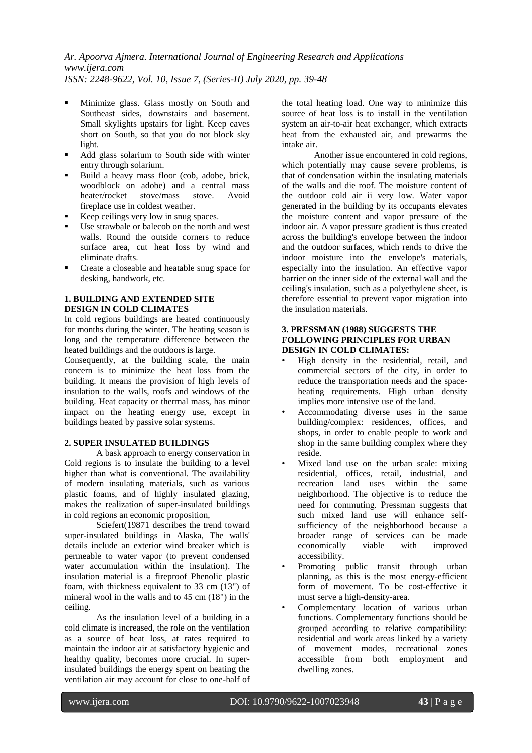- Minimize glass. Glass mostly on South and Southeast sides, downstairs and basement. Small skylights upstairs for light. Keep eaves short on South, so that you do not block sky light.
- Add glass solarium to South side with winter entry through solarium.
- Build a heavy mass floor (cob, adobe, brick, woodblock on adobe) and a central mass heater/rocket stove/mass stove. Avoid fireplace use in coldest weather.
- Keep ceilings very low in snug spaces.
- Use strawbale or balecob on the north and west walls. Round the outside corners to reduce surface area, cut heat loss by wind and eliminate drafts.
- Create a closeable and heatable snug space for desking, handwork, etc.

# **1. BUILDING AND EXTENDED SITE DESIGN IN COLD CLIMATES**

In cold regions buildings are heated continuously for months during the winter. The heating season is long and the temperature difference between the heated buildings and the outdoors is large.

Consequently, at the building scale, the main concern is to minimize the heat loss from the building. It means the provision of high levels of insulation to the walls, roofs and windows of the building. Heat capacity or thermal mass, has minor impact on the heating energy use, except in buildings heated by passive solar systems.

# **2. SUPER INSULATED BUILDINGS**

A bask approach to energy conservation in Cold regions is to insulate the building to a level higher than what is conventional. The availability of modern insulating materials, such as various plastic foams, and of highly insulated glazing, makes the realization of super-insulated buildings in cold regions an economic proposition,

Sciefert(19871 describes the trend toward super-insulated buildings in Alaska, The walls' details include an exterior wind breaker which is permeable to water vapor (to prevent condensed water accumulation within the insulation). The insulation material is a fireproof Phenolic plastic foam, with thickness equivalent to 33 cm (13") of mineral wool in the walls and to 45 cm (18") in the ceiling.

As the insulation level of a building in a cold climate is increased, the role on the ventilation as a source of heat loss, at rates required to maintain the indoor air at satisfactory hygienic and healthy quality, becomes more crucial. In superinsulated buildings the energy spent on heating the ventilation air may account for close to one-half of the total heating load. One way to minimize this source of heat loss is to install in the ventilation system an air-to-air heat exchanger, which extracts heat from the exhausted air, and prewarms the intake air.

Another issue encountered in cold regions, which potentially may cause severe problems, is that of condensation within the insulating materials of the walls and die roof. The moisture content of the outdoor cold air ii very low. Water vapor generated in the building by its occupants elevates the moisture content and vapor pressure of the indoor air. A vapor pressure gradient is thus created across the building's envelope between the indoor and the outdoor surfaces, which rends to drive the indoor moisture into the envelope's materials, especially into the insulation. An effective vapor barrier on the inner side of the external wall and the ceiling's insulation, such as a polyethylene sheet, is therefore essential to prevent vapor migration into the insulation materials.

# **3. PRESSMAN (1988) SUGGESTS THE FOLLOWING PRINCIPLES FOR URBAN DESIGN IN COLD CLIMATES:**

- High density in the residential, retail, and commercial sectors of the city, in order to reduce the transportation needs and the spaceheating requirements. High urban density implies more intensive use of the land.
- Accommodating diverse uses in the same building/complex: residences, offices, and shops, in order to enable people to work and shop in the same building complex where they reside.
- Mixed land use on the urban scale: mixing residential, offices, retail, industrial, and recreation land uses within the same neighborhood. The objective is to reduce the need for commuting. Pressman suggests that such mixed land use will enhance selfsufficiency of the neighborhood because a broader range of services can be made economically viable with improved accessibility.
- Promoting public transit through urban planning, as this is the most energy-efficient form of movement. To be cost-effective it must serve a high-density-area.
- Complementary location of various urban functions. Complementary functions should be grouped according to relative compatibility: residential and work areas linked by a variety of movement modes, recreational zones accessible from both employment and dwelling zones.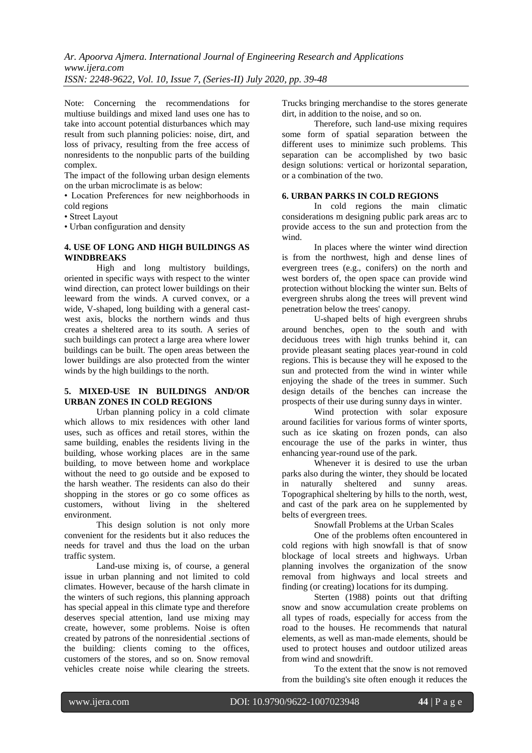Note: Concerning the recommendations for multiuse buildings and mixed land uses one has to take into account potential disturbances which may result from such planning policies: noise, dirt, and loss of privacy, resulting from the free access of nonresidents to the nonpublic parts of the building complex.

The impact of the following urban design elements on the urban microclimate is as below:

• Location Preferences for new neighborhoods in cold regions

• Street Layout

• Urban configuration and density

# **4. USE OF LONG AND HIGH BUILDINGS AS WINDBREAKS**

High and long multistory buildings, oriented in specific ways with respect to the winter wind direction, can protect lower buildings on their leeward from the winds. A curved convex, or a wide, V-shaped, long building with a general castwest axis, blocks the northern winds and thus creates a sheltered area to its south. A series of such buildings can protect a large area where lower buildings can be built. The open areas between the lower buildings are also protected from the winter winds by the high buildings to the north.

## **5. MIXED-USE IN BUILDINGS AND/OR URBAN ZONES IN COLD REGIONS**

Urban planning policy in a cold climate which allows to mix residences with other land uses, such as offices and retail stores, within the same building, enables the residents living in the building, whose working places are in the same building, to move between home and workplace without the need to go outside and be exposed to the harsh weather. The residents can also do their shopping in the stores or go co some offices as customers, without living in the sheltered environment.

This design solution is not only more convenient for the residents but it also reduces the needs for travel and thus the load on the urban traffic system.

Land-use mixing is, of course, a general issue in urban planning and not limited to cold climates. However, because of the harsh climate in the winters of such regions, this planning approach has special appeal in this climate type and therefore deserves special attention, land use mixing may create, however, some problems. Noise is often created by patrons of the nonresidential .sections of the building: clients coming to the offices, customers of the stores, and so on. Snow removal vehicles create noise while clearing the streets.

Trucks bringing merchandise to the stores generate dirt, in addition to the noise, and so on.

Therefore, such land-use mixing requires some form of spatial separation between the different uses to minimize such problems. This separation can be accomplished by two basic design solutions: vertical or horizontal separation, or a combination of the two.

# **6. URBAN PARKS IN COLD REGIONS**

In cold regions the main climatic considerations m designing public park areas arc to provide access to the sun and protection from the wind.

In places where the winter wind direction is from the northwest, high and dense lines of evergreen trees (e.g., conifers) on the north and west borders of, the open space can provide wind protection without blocking the winter sun. Belts of evergreen shrubs along the trees will prevent wind penetration below the trees' canopy.

U-shaped belts of high evergreen shrubs around benches, open to the south and with deciduous trees with high trunks behind it, can provide pleasant seating places year-round in cold regions. This is because they will he exposed to the sun and protected from the wind in winter while enjoying the shade of the trees in summer. Such design details of the benches can increase the prospects of their use during sunny days in winter.

Wind protection with solar exposure around facilities for various forms of winter sports, such as ice skating on frozen ponds, can also encourage the use of the parks in winter, thus enhancing year-round use of the park.

Whenever it is desired to use the urban parks also during the winter, they should be located in naturally sheltered and sunny areas. Topographical sheltering by hills to the north, west, and cast of the park area on he supplemented by belts of evergreen trees.

Snowfall Problems at the Urban Scales

One of the problems often encountered in cold regions with high snowfall is that of snow blockage of local streets and highways. Urban planning involves the organization of the snow removal from highways and local streets and finding (or creating) locations for its dumping.

Sterten (1988) points out that drifting snow and snow accumulation create problems on all types of roads, especially for access from the road to the houses. He recommends that natural elements, as well as man-made elements, should be used to protect houses and outdoor utilized areas from wind and snowdrift.

To the extent that the snow is not removed from the building's site often enough it reduces the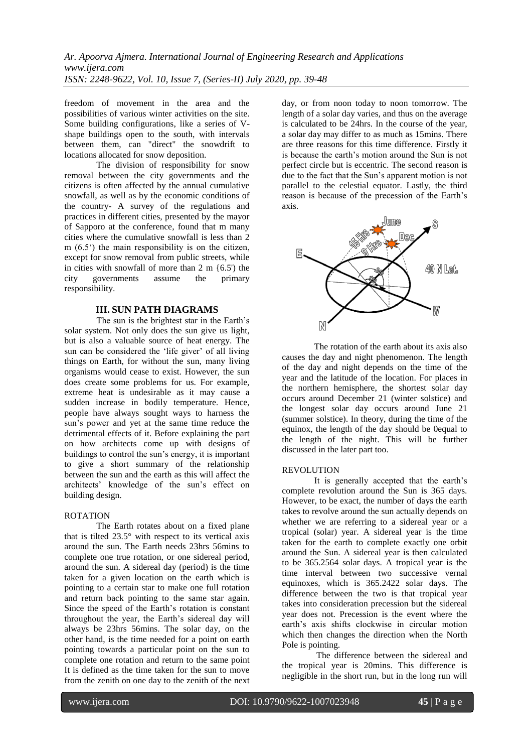freedom of movement in the area and the possibilities of various winter activities on the site. Some building configurations, like a series of Vshape buildings open to the south, with intervals between them, can "direct" the snowdrift to locations allocated for snow deposition.

The division of responsibility for snow removal between the city governments and the citizens is often affected by the annual cumulative snowfall, as well as by the economic conditions of the country- A survey of the regulations and practices in different cities, presented by the mayor of Sapporo at the conference, found that m many cities where the cumulative snowfall is less than 2 m (6.5') the main responsibility is on the citizen, except for snow removal from public streets, while in cities with snowfall of more than  $2 \text{ m } \{6.5\}$  the city governments assume the primary responsibility.

# **III. SUN PATH DIAGRAMS**

The sun is the brightest star in the Earth's solar system. Not only does the sun give us light, but is also a valuable source of heat energy. The sun can be considered the 'life giver' of all living things on Earth, for without the sun, many living organisms would cease to exist. However, the sun does create some problems for us. For example, extreme heat is undesirable as it may cause a sudden increase in bodily temperature. Hence, people have always sought ways to harness the sun's power and yet at the same time reduce the detrimental effects of it. Before explaining the part on how architects come up with designs of buildings to control the sun's energy, it is important to give a short summary of the relationship between the sun and the earth as this will affect the architects' knowledge of the sun's effect on building design.

## ROTATION

The Earth rotates about on a fixed plane that is tilted 23.5° with respect to its vertical axis around the sun. The Earth needs 23hrs 56mins to complete one true rotation, or one sidereal period, around the sun. A sidereal day (period) is the time taken for a given location on the earth which is pointing to a certain star to make one full rotation and return back pointing to the same star again. Since the speed of the Earth's rotation is constant throughout the year, the Earth's sidereal day will always be 23hrs 56mins. The solar day, on the other hand, is the time needed for a point on earth pointing towards a particular point on the sun to complete one rotation and return to the same point It is defined as the time taken for the sun to move from the zenith on one day to the zenith of the next

day, or from noon today to noon tomorrow. The length of a solar day varies, and thus on the average is calculated to be 24hrs. In the course of the year, a solar day may differ to as much as 15mins. There are three reasons for this time difference. Firstly it is because the earth's motion around the Sun is not perfect circle but is eccentric. The second reason is due to the fact that the Sun's apparent motion is not parallel to the celestial equator. Lastly, the third reason is because of the precession of the Earth's axis.



The rotation of the earth about its axis also causes the day and night phenomenon. The length of the day and night depends on the time of the year and the latitude of the location. For places in the northern hemisphere, the shortest solar day occurs around December 21 (winter solstice) and the longest solar day occurs around June 21 (summer solstice). In theory, during the time of the equinox, the length of the day should be 0equal to the length of the night. This will be further discussed in the later part too.

#### REVOLUTION

It is generally accepted that the earth's complete revolution around the Sun is 365 days. However, to be exact, the number of days the earth takes to revolve around the sun actually depends on whether we are referring to a sidereal year or a tropical (solar) year. A sidereal year is the time taken for the earth to complete exactly one orbit around the Sun. A sidereal year is then calculated to be 365.2564 solar days. A tropical year is the time interval between two successive vernal equinoxes, which is 365.2422 solar days. The difference between the two is that tropical year takes into consideration precession but the sidereal year does not. Precession is the event where the earth's axis shifts clockwise in circular motion which then changes the direction when the North Pole is pointing.

The difference between the sidereal and the tropical year is 20mins. This difference is negligible in the short run, but in the long run will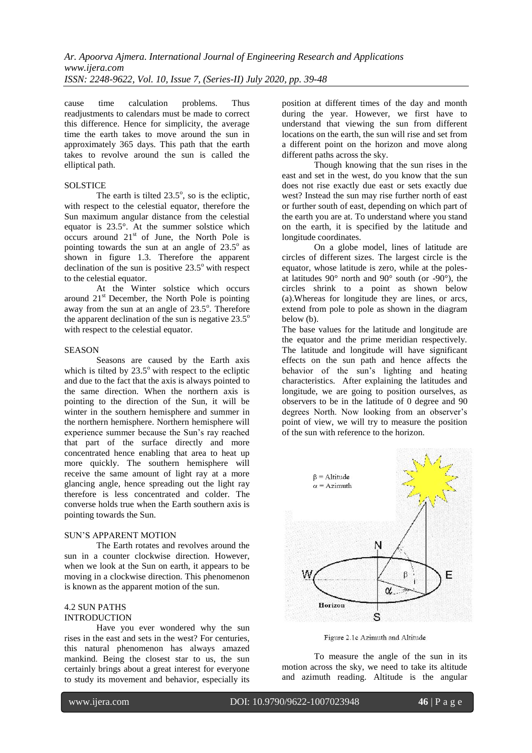cause time calculation problems. Thus readjustments to calendars must be made to correct this difference. Hence for simplicity, the average time the earth takes to move around the sun in approximately 365 days. This path that the earth takes to revolve around the sun is called the elliptical path.

## **SOLSTICE**

The earth is tilted  $23.5^{\circ}$ , so is the ecliptic, with respect to the celestial equator, therefore the Sun maximum angular distance from the celestial equator is 23.5°. At the summer solstice which occurs around  $21<sup>st</sup>$  of June, the North Pole is pointing towards the sun at an angle of  $23.5^\circ$  as shown in figure 1.3. Therefore the apparent declination of the sun is positive  $23.5^{\circ}$  with respect to the celestial equator.

At the Winter solstice which occurs around  $21<sup>st</sup>$  December, the North Pole is pointing away from the sun at an angle of 23.5°. Therefore the apparent declination of the sun is negative  $23.5^\circ$ with respect to the celestial equator.

#### SEASON

Seasons are caused by the Earth axis which is tilted by  $23.5^{\circ}$  with respect to the ecliptic and due to the fact that the axis is always pointed to the same direction. When the northern axis is pointing to the direction of the Sun, it will be winter in the southern hemisphere and summer in the northern hemisphere. Northern hemisphere will experience summer because the Sun's ray reached that part of the surface directly and more concentrated hence enabling that area to heat up more quickly. The southern hemisphere will receive the same amount of light ray at a more glancing angle, hence spreading out the light ray therefore is less concentrated and colder. The converse holds true when the Earth southern axis is pointing towards the Sun.

#### SUN'S APPARENT MOTION

The Earth rotates and revolves around the sun in a counter clockwise direction. However, when we look at the Sun on earth, it appears to be moving in a clockwise direction. This phenomenon is known as the apparent motion of the sun.

## 4.2 SUN PATHS INTRODUCTION

Have you ever wondered why the sun rises in the east and sets in the west? For centuries, this natural phenomenon has always amazed mankind. Being the closest star to us, the sun certainly brings about a great interest for everyone to study its movement and behavior, especially its

position at different times of the day and month during the year. However, we first have to understand that viewing the sun from different locations on the earth, the sun will rise and set from a different point on the horizon and move along different paths across the sky.

Though knowing that the sun rises in the east and set in the west, do you know that the sun does not rise exactly due east or sets exactly due west? Instead the sun may rise further north of east or further south of east, depending on which part of the earth you are at. To understand where you stand on the earth, it is specified by the latitude and longitude coordinates.

On a globe model, lines of latitude are circles of different sizes. The largest circle is the equator, whose latitude is zero, while at the polesat latitudes 90 $^{\circ}$  north and 90 $^{\circ}$  south (or -90 $^{\circ}$ ), the circles shrink to a point as shown below (a).Whereas for longitude they are lines, or arcs, extend from pole to pole as shown in the diagram below (b).

The base values for the latitude and longitude are the equator and the prime meridian respectively. The latitude and longitude will have significant effects on the sun path and hence affects the behavior of the sun's lighting and heating characteristics. After explaining the latitudes and longitude, we are going to position ourselves, as observers to be in the latitude of 0 degree and 90 degrees North. Now looking from an observer's point of view, we will try to measure the position of the sun with reference to the horizon.



Figure 2.1c Azimuth and Altitude

To measure the angle of the sun in its motion across the sky, we need to take its altitude and azimuth reading. Altitude is the angular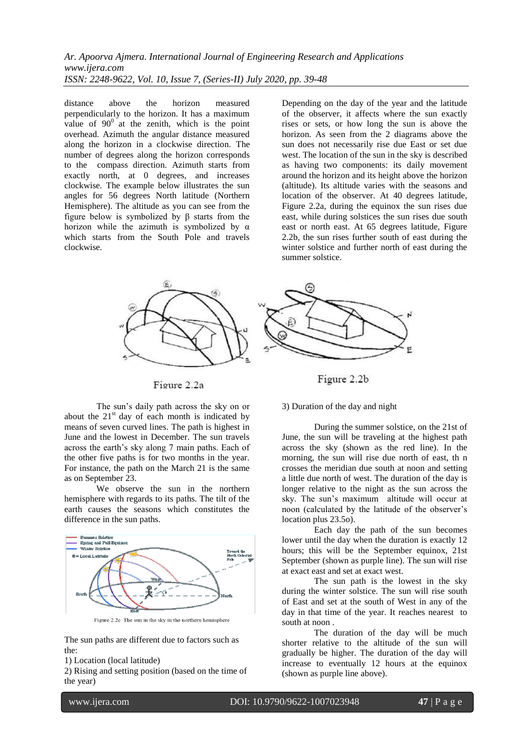distance above the horizon measured perpendicularly to the horizon. It has a maximum value of  $90^\circ$  at the zenith, which is the point overhead. Azimuth the angular distance measured along the horizon in a clockwise direction. The number of degrees along the horizon corresponds to the compass direction. Azimuth starts from exactly north, at 0 degrees, and increases clockwise. The example below illustrates the sun angles for 56 degrees North latitude (Northern Hemisphere). The altitude as you can see from the figure below is symbolized by β starts from the horizon while the azimuth is symbolized by  $\alpha$ which starts from the South Pole and travels clockwise.

Depending on the day of the year and the latitude of the observer, it affects where the sun exactly rises or sets, or how long the sun is above the horizon. As seen from the 2 diagrams above the sun does not necessarily rise due East or set due west. The location of the sun in the sky is described as having two components: its daily movement around the horizon and its height above the horizon (altitude). Its altitude varies with the seasons and location of the observer. At 40 degrees latitude, Figure 2.2a, during the equinox the sun rises due east, while during solstices the sun rises due south east or north east. At 65 degrees latitude, Figure 2.2b, the sun rises further south of east during the winter solstice and further north of east during the summer solstice.



Figure 2.2a

The sun's daily path across the sky on or about the  $21<sup>st</sup>$  day of each month is indicated by means of seven curved lines. The path is highest in June and the lowest in December. The sun travels across the earth's sky along 7 main paths. Each of the other five paths is for two months in the year. For instance, the path on the March 21 is the same as on September 23.

We observe the sun in the northern hemisphere with regards to its paths. The tilt of the earth causes the seasons which constitutes the difference in the sun paths.



Figure 2.2c The sun in the sky in the northern hemisphere

The sun paths are different due to factors such as the:

1) Location (local latitude)

2) Rising and setting position (based on the time of the year)

3) Duration of the day and night

During the summer solstice, on the 21st of June, the sun will be traveling at the highest path across the sky (shown as the red line). In the morning, the sun will rise due north of east, th n crosses the meridian due south at noon and setting a little due north of west. The duration of the day is longer relative to the night as the sun across the sky. The sun's maximum altitude will occur at noon (calculated by the latitude of the observer's location plus 23.5o).

Each day the path of the sun becomes lower until the day when the duration is exactly 12 hours; this will be the September equinox, 21st September (shown as purple line). The sun will rise at exact east and set at exact west.

The sun path is the lowest in the sky during the winter solstice. The sun will rise south of East and set at the south of West in any of the day in that time of the year. It reaches nearest to south at noon .

The duration of the day will be much shorter relative to the altitude of the sun will gradually be higher. The duration of the day will increase to eventually 12 hours at the equinox (shown as purple line above).